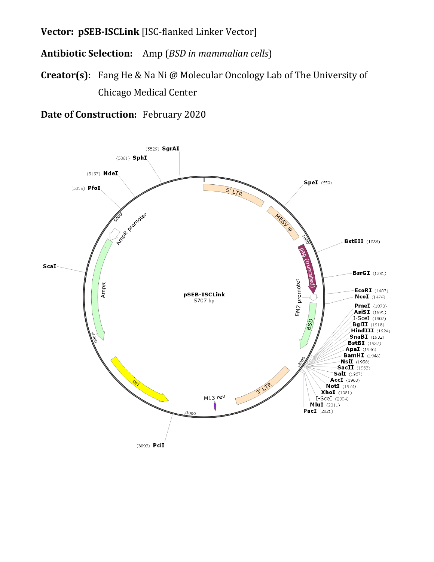**Vector: pSEB-ISCLink** [ISC-flanked Linker Vector]

**Antibiotic Selection:** Amp (*BSD in mammalian cells*)

**Creator(s):** Fang He & Na Ni @ Molecular Oncology Lab of The University of Chicago Medical Center

**Date of Construction:** February 2020

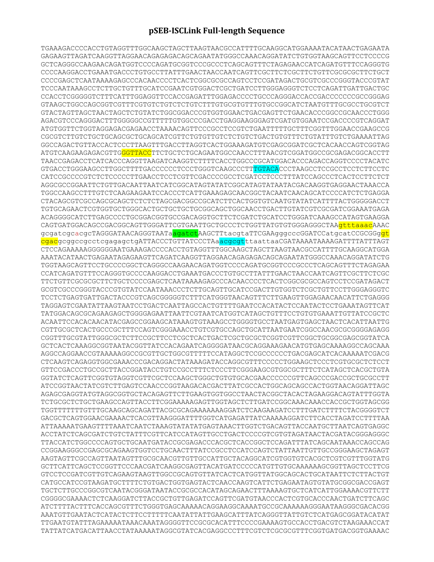## **pSEB-ISCLink Full-length Sequence**

TGAAAGACCCCACCTGTAGGTTTGGCAAGCTAGCTTAAGTAACGCCATTTTGCAAGGCATGGAAAATACATAACTGAGAATA GAGAAGTTAGATCAAGGTTAGGAACAGAGAGACAGCAGAATATGGGCCAAACAGGATATCTGTGGTAAGCAGTTCCTCCCCG GCTCAGGGCCAAGAACAGATGGTCCCCAGATGCGGTCCCGCCCTCAGCAGTTTCTAGAGAACCATCAGATGTTTCCAGGGTG CCCCAAGGACCTGAAATGACCCTGTGCCTTATTTGAACTAACCAATCAGTTCGCTTCTCGCTTCTGTTCGCGCGCTTCTGCT CCCCGAGCTCAATAAAAGAGCCCACAACCCCTCACTCGGCGCGCCAGTCCTCCGATAGACTGCGTCGCCCGGGTACCCGTAT TCCCAATAAAGCCTCTTGCTGTTTGCATCCGAATCGTGGACTCGCTGATCCTTGGGAGGGTCTCCTCAGATTGATTGACTGC CCACCTCGGGGGTCTTTCATTTGGAGGTTCCACCGAGATTTGGAGACCCCTGCCCAGGGACCACCGACCCCCCCGCCGGGAG GTAAGCTGGCCAGCGGTCGTTTCGTGTCTGTCTCTGTCTTTGTGCGTGTTTGTGCCGGCATCTAATGTTTGCGCCTGCGTCT GTACTAGTTAGCTAACTAGCTCTGTATCTGGCGGACCCGTGGTGGAACTGACGAGTTCTGAACACCCGGCCGCAACCCTGGG AGACGTCCCAGGGACTTTGGGGGCCGTTTTTGTGGCCCGACCTGAGGAAGGGAGTCGATGTGGAATCCGACCCCGTCAGGAT ATGTGGTTCTGGTAGGAGACGAGAACCTAAAACAGTTCCCGCCTCCGTCTGAATTTTTGCTTTCGGTTTGGAACCGAAGCCG CGCGTCTTGTCTGCTGCAGCGCTGCAGCATCGTTCTGTGTTGTCTCTGTCTGACTGTGTTTCTGTATTTGTCTGAAAATTAG GGCCAGACTGTTACCACTCCCTTAAGTTTGACCTTAGGTCACTGGAAAGATGTCGAGCGGATCGCTCACAACCAGTCGGTAG ATGTCAAGAAGAGACGTTGGGTTACCTTCTGCTCTGCAGAATGGCCAACCTTTAACGTCGGATGGCCGCGAGACGGCACCTT TAACCGAGACCTCATCACCCAGGTTAAGATCAAGGTCTTTTCACCTGGCCCGCATGGACACCCAGACCAGGTCCCCTACATC GTGACCTGGGAAGCCTTGGCTTTTGACCCCCCTCCCTGGGTCAAGCCCTTTGTACACCCTAAGCCTCCGCCTCCTCTTCCTC CATCCGCCCCGTCTCTCCCCCTTGAACCTCCTCGTTCGACCCCGCCTCGATCCTCCCTTTATCCAGCCCTCACTCCTTCTCT AGGCGCCGGAATTCTGTTGACAATTAATCATCGGCATAGTATATCGGCATAGTATAATACGACAAGGTGAGGAACTAAACCA TGGCCAAGCCTTTGTCTCAAGAAGAATCCACCCTCATTGAAAGAGCAACGGCTACAATCAACAGCATCCCCATCTCTGAGGA CTACAGCGTCGCCAGCGCAGCTCTCTCTAGCGACGGCCGCATCTTCACTGGTGTCAATGTATATCATTTTACTGGGGGACCT TGTGCAGAACTCGTGGTGCTGGGCACTGCTGCTGCTGCGGCAGCTGGCAACCTGACTTGTATCGTCGCGATCGGAAATGAGA ACAGGGGCATCTTGAGCCCCTGCGGACGGTGCCGACAGGTGCTTCTCGATCTGCATCCTGGGATCAAAGCCATAGTGAAGGA CAGTGATGGACAGCCGACGGCAGTTGGGATTCGTGAATTGCTGCCCTCTGGTTATGTGTGGGAGGGCTAAgtttaaacAAAC gcgatcgcacgcTAGGGATAACAGGGTAATa<mark>agatct</mark>AAGCTTtacgtaTTCGAAgggcccGGATCCatgcatCCGCGGg<mark>gt</mark> cgacgcggccgcctcgagagctgATTACCCTGTTATCCCTAaacgcgtttaattaaCGATAAAATAAAAGATTTTATTTAGT CTCCAGAAAAAGGGGGGAATGAAAGACCCCACCTGTAGGTTTGGCAAGCTAGCTTAAGTAACGCCATTTTGCAAGGCATGGA AAATACATAACTGAGAATAGAGAAGTTCAGATCAAGGTTAGGAACAGAGAGACAGCAGAATATGGGCCAAACAGGATATCTG TGGTAAGCAGTTCCTGCCCCGGCTCAGGGCCAAGAACAGATGGTCCCCAGATGCGGTCCCGCCCTCAGCAGTTTCTAGAGAA CCATCAGATGTTTCCAGGGTGCCCCAAGGACCTGAAATGACCCTGTGCCTTATTTGAACTAACCAATCAGTTCGCTTCTCGC TTCTGTTCGCGCGCTTCTGCTCCCCGAGCTCAATAAAAGAGCCCACAACCCCTCACTCGGCGCGCCAGTCCTCCGATAGACT GCGTCGCCCGGGTACCCGTGTATCCAATAAACCCTCTTGCAGTTGCATCCGACTTGTGGTCTCGCTGTTCCTTGGGAGGGTC TCCTCTGAGTGATTGACTACCCGTCAGCGGGGGTCTTTCATGGGTAACAGTTTCTTGAAGTTGGAGAACAACATTCTGAGGG TAGGAGTCGAATATTAAGTAATCCTGACTCAATTAGCCACTGTTTTGAATCCACATACTCCAATACTCCTGAAATAGTTCAT TATGGACAGCGCAGAAGAGCTGGGGAGAATTAATTCGTAATCATGGTCATAGCTGTTTCCTGTGTGAAATTGTTATCCGCTC ACAATTCCACACAACATACGAGCCGGAAGCATAAAGTGTAAAGCCTGGGGTGCCTAATGAGTGAGCTAACTCACATTAATTG CGTTGCGCTCACTGCCCGCTTTCCAGTCGGGAAACCTGTCGTGCCAGCTGCATTAATGAATCGGCCAACGCGGGGGAGAGG CGGTTTGCGTATTGGGCGCTCTTCCGCTTCCTCGCTCACTGACTCGCTGCGCTCGGTCGTTCGGCTGCGGCGAGCGGTATCA GCTCACTCAAAGGCGGTAATACGGTTATCCACAGAATCAGGGGATAACGCAGGAAAGAACATGTGAGCAAAAGGCCAGCAAA AGGCCAGGAACCGTAAAAAGGCCGCGTTGCTGGCGTTTTTCCATAGGCTCCGCCCCCCTGACGAGCATCACAAAAATCGACG CTCAAGTCAGAGGTGGCGAAACCCGACAGGACTATAAAGATACCAGGCGTTTCCCCCTGGAAGCTCCCTCGTGCGCTCTCCT GTTCCGACCCTGCCGCTTACCGGATACCTGTCCGCCTTTCTCCCTTCGGGAAGCGTGGCGCTTTCTCATAGCTCACGCTGTA GGTATCTCAGTTCGGTGTAGGTCGTTCGCTCCAAGCTGGGCTGTGTGCACGAACCCCCCGTTCAGCCCGACCGCTGCGCCTT ATCCGGTAACTATCGTCTTGAGTCCAACCCGGTAAGACACGACTTATCGCCACTGGCAGCAGCCACTGGTAACAGGATTAGC AGAGCGAGGTATGTAGGCGGTGCTACAGAGTTCTTGAAGTGGTGGCCTAACTACGGCTACACTAGAAGGACAGTATTTGGTA TCTGCGCTCTGCTGAAGCCAGTTACCTTCGGAAAAAGAGTTGGTAGCTCTTGATCCGGCAAACAAACCACCGCTGGTAGCGG TGGTTTTTTTGTTTGCAAGCAGCAGATTACGCGCAGAAAAAAAGGATCTCAAGAAGATCCTTTGATCTTTTCTACGGGGTCT GACGCTCAGTGGAACGAAAACTCACGTTAAGGGATTTTGGTCATGAGATTATCAAAAAGGATCTTCACCTAGATCCTTTTAA ATTAAAAATGAAGTTTTAAATCAATCTAAAGTATATATGAGTAAACTTGGTCTGACAGTTACCAATGCTTAATCAGTGAGGC ACCTATCTCAGCGATCTGTCTATTTCGTTCATCCATAGTTGCCTGACTCCCCGTCGTGTAGATAACTACGATACGGGAGGGC TTACCATCTGGCCCCAGTGCTGCAATGATACCGCGAGACCCACGCTCACCGGCTCCAGATTTATCAGCAATAAACCAGCCAG CCGGAAGGGCCGAGCGCAGAAGTGGTCCTGCAACTTTATCCGCCTCCATCCAGTCTATTAATTGTTGCCGGGAAGCTAGAGT AAGTAGTTCGCCAGTTAATAGTTTGCGCAACGTTGTTGCCATTGCTACAGGCATCGTGGTGTCACGCTCGTCGTTTGGTATG GCTTCATTCAGCTCCGGTTCCCAACGATCAAGGCGAGTTACATGATCCCCCATGTTGTGCAAAAAAGCGGTTAGCTCCTTCG GTCCTCCGATCGTTGTCAGAAGTAAGTTGGCCGCAGTGTTATCACTCATGGTTATGGCAGCACTGCATAATTCTCTTACTGT CATGCCATCCGTAAGATGCTTTTCTGTGACTGGTGAGTACTCAACCAAGTCATTCTGAGAATAGTGTATGCGGCGACCGAGT TGCTCTTGCCCGGCGTCAATACGGGATAATACCGCGCCACATAGCAGAACTTTAAAAGTGCTCATCATTGGAAAACGTTCTT CGGGGCGAAAACTCTCAAGGATCTTACCGCTGTTGAGATCCAGTTCGATGTAACCCACTCGTGCACCCAACTGATCTTCAGC ATCTTTTACTTTCACCAGCGTTTCTGGGTGAGCAAAAACAGGAAGGCAAAATGCCGCAAAAAAGGGAATAAGGGCGACACGG AAATGTTGAATACTCATACTCTTCCTTTTTCAATATTATTGAAGCATTTATCAGGGTTATTGTCTCATGAGCGGATACATAT TTGAATGTATTTAGAAAAATAAACAAATAGGGGTTCCGCGCACATTTCCCCGAAAAGTGCCACCTGACGTCTAAGAAACCAT TATTATCATGACATTAACCTATAAAAATAGGCGTATCACGAGGCCCTTTCGTCTCGCGCGTTTCGGTGATGACGGTGAAAAC